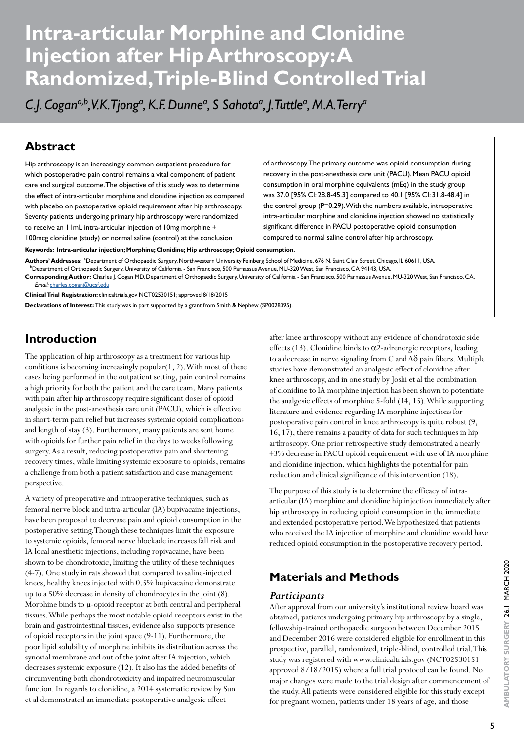# **Intra-articular Morphine and Clonidine Injection after Hip Arthroscopy: A Randomized, Triple-Blind Controlled Trial**

C.J. Cogan<sup>a,b</sup>,V.K.Tjong<sup>a</sup>, K.F. Dunne<sup>a</sup>, S Sahota<sup>a</sup>, J.Tuttle<sup>a</sup>, M.A.Terry<sup>a</sup>

### **Abstract**

Hip arthroscopy is an increasingly common outpatient procedure for which postoperative pain control remains a vital component of patient care and surgical outcome. The objective of this study was to determine the effect of intra-articular morphine and clonidine injection as compared with placebo on postoperative opioid requirement after hip arthroscopy. Seventy patients undergoing primary hip arthroscopy were randomized to receive an 11mL intra-articular injection of 10mg morphine + 100mcg clonidine (study) or normal saline (control) at the conclusion

of arthroscopy. The primary outcome was opioid consumption during recovery in the post-anesthesia care unit (PACU). Mean PACU opioid consumption in oral morphine equivalents (mEq) in the study group was 37.0 [95% CI: 28.8-45.3] compared to 40.1 [95% CI: 31.8-48.4] in the control group (P=0.29). With the numbers available, intraoperative intra-articular morphine and clonidine injection showed no statistically significant difference in PACU postoperative opioid consumption compared to normal saline control after hip arthroscopy.

**Keywords: Intra-articular injection; Morphine; Clonidine; Hip arthroscopy; Opioid consumption.** 

Authors' Addresses: ªDepartment of Orthopaedic Surgery, Northwestern University Feinberg School of Medicine, 676 N. Saint Clair Street, Chicago, IL 60611, USA.<br>Department of Orthopaedic Surgery, University of California - **Corresponding Author:** Charles J. Cogan MD, Department of Orthopaedic Surgery, University of California - San Francisco. 500 Parnassus Avenue, MU-320 West, San Francisco, CA.

*Email:* [charles.cogan@ucsf.edu](mailto:charles.cogan@ucsf.edu) **Clinical Trial Registration:** clinicaltrials.gov NCT02530151; approved 8/18/2015

**Declarations of Interest:** This study was in part supported by a grant from Smith & Nephew (SP0028395).

# **Introduction**

The application of hip arthroscopy as a treatment for various hip conditions is becoming increasingly  $p$ opular $(1, 2)$ . With most of these cases being performed in the outpatient setting, pain control remains a high priority for both the patient and the care team. Many patients with pain after hip arthroscopy require significant doses of opioid analgesic in the post-anesthesia care unit (PACU), which is effective in short-term pain relief but increases systemic opioid complications and length of stay (3). Furthermore, many patients are sent home with opioids for further pain relief in the days to weeks following surgery. As a result, reducing postoperative pain and shortening recovery times, while limiting systemic exposure to opioids, remains a challenge from both a patient satisfaction and case management perspective.

A variety of preoperative and intraoperative techniques, such as femoral nerve block and intra-articular (IA) bupivacaine injections, have been proposed to decrease pain and opioid consumption in the postoperative setting. Though these techniques limit the exposure to systemic opioids, femoral nerve blockade increases fall risk and IA local anesthetic injections, including ropivacaine, have been shown to be chondrotoxic, limiting the utility of these techniques (4-7). One study in rats showed that compared to saline-injected knees, healthy knees injected with 0.5% bupivacaine demonstrate up to a 50% decrease in density of chondrocytes in the joint (8). Morphine binds to μ-opioid receptor at both central and peripheral tissues. While perhaps the most notable opioid receptors exist in the brain and gastrointestinal tissues, evidence also supports presence of opioid receptors in the joint space (9-11). Furthermore, the poor lipid solubility of morphine inhibits its distribution across the synovial membrane and out of the joint after IA injection, which decreases systemic exposure (12). It also has the added benefits of circumventing both chondrotoxicity and impaired neuromuscular function. In regards to clonidine, a 2014 systematic review by Sun et al demonstrated an immediate postoperative analgesic effect

after knee arthroscopy without any evidence of chondrotoxic side effects (13). Clonidine binds to  $\alpha$ 2-adrenergic receptors, leading to a decrease in nerve signaling from C and  $A\delta$  pain fibers. Multiple studies have demonstrated an analgesic effect of clonidine after knee arthroscopy, and in one study by Joshi et al the combination of clonidine to IA morphine injection has been shown to potentiate the analgesic effects of morphine 5-fold (14, 15). While supporting literature and evidence regarding IA morphine injections for postoperative pain control in knee arthroscopy is quite robust (9, 16, 17), there remains a paucity of data for such techniques in hip arthroscopy. One prior retrospective study demonstrated a nearly 43% decrease in PACU opioid requirement with use of IA morphine and clonidine injection, which highlights the potential for pain reduction and clinical significance of this intervention (18).

The purpose of this study is to determine the efficacy of intraarticular (IA) morphine and clonidine hip injection immediately after hip arthroscopy in reducing opioid consumption in the immediate and extended postoperative period. We hypothesized that patients who received the IA injection of morphine and clonidine would have reduced opioid consumption in the postoperative recovery period.

# **Materials and Methods**

#### *Participants*

After approval from our university's institutional review board was obtained, patients undergoing primary hip arthroscopy by a single, fellowship-trained orthopaedic surgeon between December 2015 and December 2016 were considered eligible for enrollment in this prospective, parallel, randomized, triple-blind, controlled trial. This study was registered with www.clinicaltrials.gov (NCT02530151 approved 8/18/2015) where a full trial protocol can be found. No major changes were made to the trial design after commencement of the study. All patients were considered eligible for this study except for pregnant women, patients under 18 years of age, and those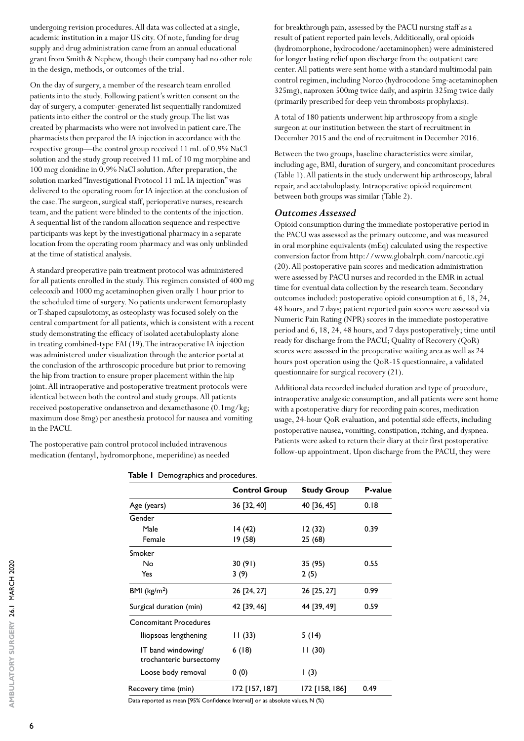undergoing revision procedures. All data was collected at a single, academic institution in a major US city. Of note, funding for drug supply and drug administration came from an annual educational grant from Smith & Nephew, though their company had no other role in the design, methods, or outcomes of the trial.

On the day of surgery, a member of the research team enrolled patients into the study. Following patient's written consent on the day of surgery, a computer-generated list sequentially randomized patients into either the control or the study group. The list was created by pharmacists who were not involved in patient care. The pharmacists then prepared the IA injection in accordance with the respective group—the control group received 11 mL of 0.9% NaCl solution and the study group received 11 mL of 10 mg morphine and 100 mcg clonidine in 0.9% NaCl solution. After preparation, the solution marked "Investigational Protocol 11 mL IA injection" was delivered to the operating room for IA injection at the conclusion of the case. The surgeon, surgical staff, perioperative nurses, research team, and the patient were blinded to the contents of the injection. A sequential list of the random allocation sequence and respective participants was kept by the investigational pharmacy in a separate location from the operating room pharmacy and was only unblinded at the time of statistical analysis.

A standard preoperative pain treatment protocol was administered for all patients enrolled in the study. This regimen consisted of 400 mg celecoxib and 1000 mg acetaminophen given orally 1 hour prior to the scheduled time of surgery. No patients underwent femoroplasty or T-shaped capsulotomy, as osteoplasty was focused solely on the central compartment for all patients, which is consistent with a recent study demonstrating the efficacy of isolated acetabuloplasty alone in treating combined-type FAI (19). The intraoperative IA injection was administered under visualization through the anterior portal at the conclusion of the arthroscopic procedure but prior to removing the hip from traction to ensure proper placement within the hip joint. All intraoperative and postoperative treatment protocols were identical between both the control and study groups. All patients received postoperative ondansetron and dexamethasone (0.1mg/kg; maximum dose 8mg) per anesthesia protocol for nausea and vomiting in the PACU.

The postoperative pain control protocol included intravenous medication (fentanyl, hydromorphone, meperidine) as needed for breakthrough pain, assessed by the PACU nursing staff as a result of patient reported pain levels. Additionally, oral opioids (hydromorphone, hydrocodone/acetaminophen) were administered for longer lasting relief upon discharge from the outpatient care center. All patients were sent home with a standard multimodal pain control regimen, including Norco (hydrocodone 5mg-acetaminophen 325mg), naproxen 500mg twice daily, and aspirin 325mg twice daily (primarily prescribed for deep vein thrombosis prophylaxis).

A total of 180 patients underwent hip arthroscopy from a single surgeon at our institution between the start of recruitment in December 2015 and the end of recruitment in December 2016.

Between the two groups, baseline characteristics were similar, including age, BMI, duration of surgery, and concomitant procedures (Table 1). All patients in the study underwent hip arthroscopy, labral repair, and acetabuloplasty. Intraoperative opioid requirement between both groups was similar (Table 2).

#### *Outcomes Assessed*

Opioid consumption during the immediate postoperative period in the PACU was assessed as the primary outcome, and was measured in oral morphine equivalents (mEq) calculated using the respective conversion factor from http://www.globalrph.com/narcotic.cgi (20). All postoperative pain scores and medication administration were assessed by PACU nurses and recorded in the EMR in actual time for eventual data collection by the research team. Secondary outcomes included: postoperative opioid consumption at 6, 18, 24, 48 hours, and 7 days; patient reported pain scores were assessed via Numeric Pain Rating (NPR) scores in the immediate postoperative period and 6, 18, 24, 48 hours, and 7 days postoperatively; time until ready for discharge from the PACU; Quality of Recovery (QoR) scores were assessed in the preoperative waiting area as well as 24 hours post operation using the QoR-15 questionnaire, a validated questionnaire for surgical recovery (21).

Additional data recorded included duration and type of procedure, intraoperative analgesic consumption, and all patients were sent home with a postoperative diary for recording pain scores, medication usage, 24-hour QoR evaluation, and potential side effects, including postoperative nausea, vomiting, constipation, itching, and dyspnea. Patients were asked to return their diary at their first postoperative follow-up appointment. Upon discharge from the PACU, they were

| Table I Demographics and procedures. |  |
|--------------------------------------|--|
|                                      |  |

|                                               | <b>Control Group</b> | <b>Study Group</b> | <b>P-value</b> |
|-----------------------------------------------|----------------------|--------------------|----------------|
| Age (years)                                   | 36 [32, 40]          | 40 [36, 45]        | 0.18           |
| Gender                                        |                      |                    |                |
| Male                                          | 14 (42)              | 12 (32)            | 0.39           |
| Female                                        | 19 (58)              | 25 (68)            |                |
| Smoker                                        |                      |                    |                |
| No                                            | 30(91)               | 35 (95)            | 0.55           |
| Yes                                           | 3(9)                 | 2(5)               |                |
| BMI ( $\text{kg/m}^2$ )                       | 26 [24, 27]          | 26 [25, 27]        | 0.99           |
| Surgical duration (min)                       | 42 [39, 46]          | 44 [39, 49]        | 0.59           |
| <b>Concomitant Procedures</b>                 |                      |                    |                |
| lliopsoas lengthening                         | 11(33)               | 5(14)              |                |
| IT band windowing/<br>trochanteric bursectomy | 6(18)                | 11(30)             |                |
| Loose body removal                            | 0(0)                 | $\vert$ (3)        |                |
| Recovery time (min)                           | 172 [157, 187]       | 172 [158, 186]     | 0.49           |

Data reported as mean [95% Confidence Interval] or as absolute values, N (%)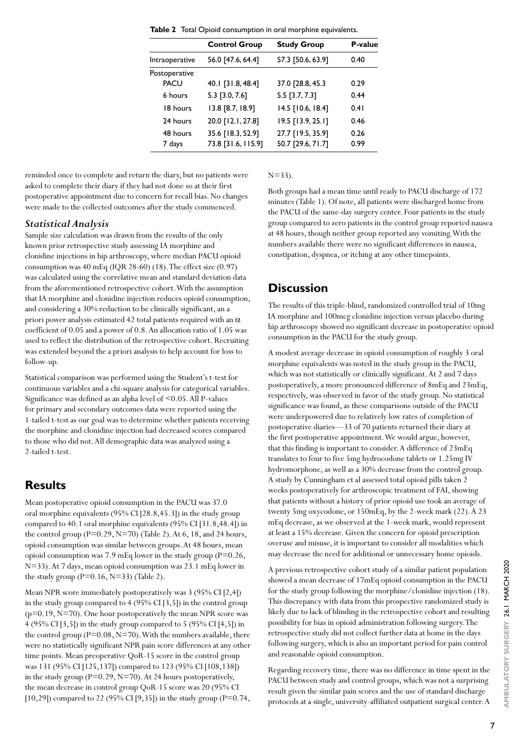|                | <b>Control Group</b> | <b>Study Group</b> | P-value |
|----------------|----------------------|--------------------|---------|
| Intraoperative | 56.0 [47.6, 64.4]    | 57.3 [50.6, 63.9]  | 0.40    |
| Postoperative  |                      |                    |         |
| <b>PACU</b>    | 40.1 [31.8, 48.4]    | 37.0 [28.8, 45.3   | 0.29    |
| 6 hours        | 5.3 [3.0, 7.6]       | 5.5 [3.7, 7.3]     | 0.44    |
| 18 hours       | 13.8 [8.7, 18.9]     | 14.5 [10.6, 18.4]  | 0.41    |
| 24 hours       | 20.0 [12.1, 27.8]    | 19.5 [13.9, 25.1]  | 0.46    |
| 48 hours       | 35.6 [18.3, 52.9]    | 27.7 [19.5, 35.9]  | 0.26    |
| 7 days         | 73.8 [31.6, 115.9]   | 50.7 [29.6, 71.7]  | 0.99    |
|                |                      |                    |         |

**Table 2** Total Opioid consumption in oral morphine equivalents.

reminded once to complete and return the diary, but no patients were asked to complete their diary if they had not done so at their first postoperative appointment due to concern for recall bias. No changes were made to the collected outcomes after the study commenced.

#### *Statistical Analysis*

Sample size calculation was drawn from the results of the only known prior retrospective study assessing IA morphine and clonidine injections in hip arthroscopy, where median PACU opioid consumption was 40 mEq (IQR 28-60) (18). The effect size (0.97) was calculated using the correlative mean and standard deviation data from the aforementioned retrospective cohort. With the assumption that IA morphine and clonidine injection reduces opioid consumption, and considering a 30% reduction to be clinically significant, an a priori power analysis estimated 42 total patients required with an  $\alpha$ coefficient of 0.05 and a power of 0.8. An allocation ratio of 1.05 was used to reflect the distribution of the retrospective cohort. Recruiting was extended beyond the a priori analysis to help account for loss to follow-up.

Statistical comparison was performed using the Student's t-test for continuous variables and a chi-square analysis for categorical variables. Significance was defined as an alpha level of <0.05. All P-values for primary and secondary outcomes data were reported using the 1-tailed t-test as our goal was to determine whether patients receiving the morphine and clonidine injection had decreased scores compared to those who did not. All demographic data was analyzed using a 2-tailed t-test.

### **Results**

Mean postoperative opioid consumption in the PACU was 37.0 oral morphine equivalents (95% CI [28.8,45.3]) in the study group compared to 40.1 oral morphine equivalents (95% CI [31.8,48.4]) in the control group  $(P=0.29, N=70)$  (Table 2). At 6, 18, and 24 hours, opioid consumption was similar between groups. At 48 hours, mean opioid consumption was 7.9 mEq lower in the study group (P=0.26, N=33). At 7 days, mean opioid consumption was 23.1 mEq lower in the study group ( $P=0.16$ ,  $N=33$ ) (Table 2).

Mean NPR score immediately postoperatively was 3 (95% CI [2,4]) in the study group compared to 4 (95% CI [3,5]) in the control group  $(p=0.19, N=70)$ . One hour postoperatively the mean NPR score was 4 (95% CI [3,5]) in the study group compared to 5 (95% CI [4,5]) in the control group ( $P=0.08$ ,  $N=70$ ). With the numbers available, there were no statistically significant NPR pain score differences at any other time points. Mean preoperative QoR-15 score in the control group was 131 (95% CI [125,137]) compared to 123 (95% CI [108,138]) in the study group ( $P=0.29$ ,  $N=70$ ). At 24 hours postoperatively, the mean decrease in control group QoR-15 score was 20 (95% CI [10,29]) compared to 22 (95% CI [9,35]) in the study group (P=0.74,  $N=33$ ).

Both groups had a mean time until ready to PACU discharge of 172 minutes (Table 1). Of note, all patients were discharged home from the PACU of the same-day surgery center. Four patients in the study group compared to zero patients in the control group reported nausea at 48 hours, though neither group reported any vomiting. With the numbers available there were no significant differences in nausea, constipation, dyspnea, or itching at any other timepoints.

## **Discussion**

The results of this triple-blind, randomized controlled trial of 10mg IA morphine and 100mcg clonidine injection versus placebo during hip arthroscopy showed no significant decrease in postoperative opioid consumption in the PACU for the study group.

A modest average decrease in opioid consumption of roughly 3 oral morphine equivalents was noted in the study group in the PACU, which was not statistically or clinically significant. At 2 and 7 days postoperatively, a more pronounced difference of 8mEq and 23mEq, respectively, was observed in favor of the study group. No statistical significance was found, as these comparisons outside of the PACU were underpowered due to relatively low rates of completion of postoperative diaries—33 of 70 patients returned their diary at the first postoperative appointment. We would argue, however, that this finding is important to consider. A difference of 23mEq translates to four to five 5mg hydrocodone tablets or 1.25mg IV hydromorphone, as well as a 30% decrease from the control group. A study by Cunningham et al assessed total opioid pills taken 2 weeks postoperatively for arthroscopic treatment of FAI, showing that patients without a history of prior opioid use took an average of twenty 5mg oxycodone, or 150mEq, by the 2-week mark (22). A 23 mEq decrease, as we observed at the 1-week mark, would represent at least a 15% decrease. Given the concern for opioid prescription overuse and misuse, it is important to consider all modalities which may decrease the need for additional or unnecessary home opioids.

A previous retrospective cohort study of a similar patient population showed a mean decrease of 17mEq opioid consumption in the PACU for the study group following the morphine/clonidine injection (18). This discrepancy with data from this prospective randomized study is likely due to lack of blinding in the retrospective cohort and resulting possibility for bias in opioid administration following surgery. The retrospective study did not collect further data at home in the days following surgery, which is also an important period for pain control and reasonable opioid consumption.

Regarding recovery time, there was no difference in time spent in the PACU between study and control groups, which was not a surprising result given the similar pain scores and the use of standard discharge protocols at a single, university-affiliated outpatient surgical center. A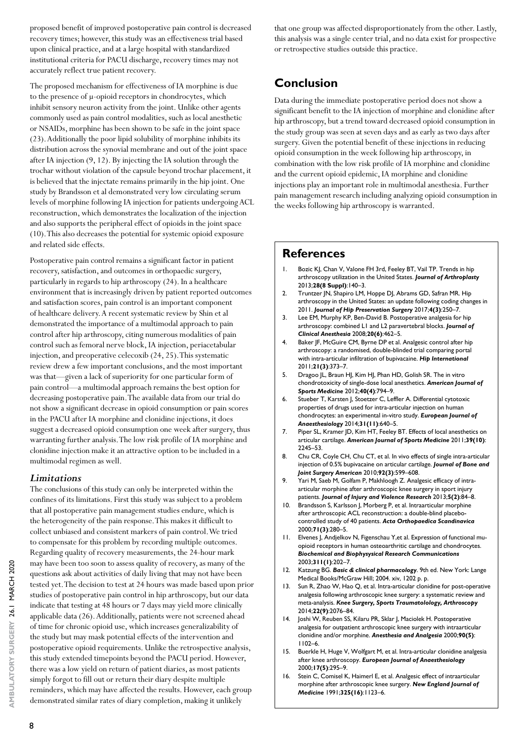proposed benefit of improved postoperative pain control is decreased recovery times; however, this study was an effectiveness trial based upon clinical practice, and at a large hospital with standardized institutional criteria for PACU discharge, recovery times may not accurately reflect true patient recovery.

The proposed mechanism for effectiveness of IA morphine is due to the presence of µ-opioid receptors in chondrocytes, which inhibit sensory neuron activity from the joint. Unlike other agents commonly used as pain control modalities, such as local anesthetic or NSAIDs, morphine has been shown to be safe in the joint space (23). Additionally the poor lipid solubility of morphine inhibits its distribution across the synovial membrane and out of the joint space after IA injection (9, 12). By injecting the IA solution through the trochar without violation of the capsule beyond trochar placement, it is believed that the injectate remains primarily in the hip joint. One study by Brandsson et al demonstrated very low circulating serum levels of morphine following IA injection for patients undergoing ACL reconstruction, which demonstrates the localization of the injection and also supports the peripheral effect of opioids in the joint space (10). This also decreases the potential for systemic opioid exposure and related side effects.

Postoperative pain control remains a significant factor in patient recovery, satisfaction, and outcomes in orthopaedic surgery, particularly in regards to hip arthroscopy (24). In a healthcare environment that is increasingly driven by patient reported outcomes and satisfaction scores, pain control is an important component of healthcare delivery. A recent systematic review by Shin et al demonstrated the importance of a multimodal approach to pain control after hip arthroscopy, citing numerous modalities of pain control such as femoral nerve block, IA injection, periacetabular injection, and preoperative celecoxib (24, 25). This systematic review drew a few important conclusions, and the most important was that—given a lack of superiority for one particular form of pain control—a multimodal approach remains the best option for decreasing postoperative pain. The available data from our trial do not show a significant decrease in opioid consumption or pain scores in the PACU after IA morphine and clonidine injections, it does suggest a decreased opioid consumption one week after surgery, thus warranting further analysis. The low risk profile of IA morphine and clonidine injection make it an attractive option to be included in a multimodal regimen as well.

#### *Limitations*

The conclusions of this study can only be interpreted within the confines of its limitations. First this study was subject to a problem that all postoperative pain management studies endure, which is the heterogeneity of the pain response. This makes it difficult to collect unbiased and consistent markers of pain control. We tried to compensate for this problem by recording multiple outcomes. Regarding quality of recovery measurements, the 24-hour mark may have been too soon to assess quality of recovery, as many of the questions ask about activities of daily living that may not have been tested yet. The decision to test at 24 hours was made based upon prior studies of postoperative pain control in hip arthroscopy, but our data indicate that testing at 48 hours or 7 days may yield more clinically applicable data (26). Additionally, patients were not screened ahead of time for chronic opioid use, which increases generalizability of the study but may mask potential effects of the intervention and postoperative opioid requirements. Unlike the retrospective analysis, this study extended timepoints beyond the PACU period. However, there was a low yield on return of patient diaries, as most patients simply forgot to fill out or return their diary despite multiple reminders, which may have affected the results. However, each group demonstrated similar rates of diary completion, making it unlikely

that one group was affected disproportionately from the other. Lastly, this analysis was a single center trial, and no data exist for prospective or retrospective studies outside this practice.

# **Conclusion**

Data during the immediate postoperative period does not show a significant benefit to the IA injection of morphine and clonidine after hip arthroscopy, but a trend toward decreased opioid consumption in the study group was seen at seven days and as early as two days after surgery. Given the potential benefit of these injections in reducing opioid consumption in the week following hip arthroscopy, in combination with the low risk profile of IA morphine and clonidine and the current opioid epidemic, IA morphine and clonidine injections play an important role in multimodal anesthesia. Further pain management research including analyzing opioid consumption in the weeks following hip arthroscopy is warranted.

### **References**

- Bozic KJ, Chan V, Valone FH 3rd, Feeley BT, Vail TP. Trends in hip arthroscopy utilization in the United States. *Journal of Arthroplasty* 2013;**28(8 Suppl)**:140–3.
- 2. Truntzer JN, Shapiro LM, Hoppe DJ, Abrams GD, Safran MR. Hip arthroscopy in the United States: an update following coding changes in 2011. *Journal of Hip Preservation Surgery* 2017;**4(3)**:250–7.
- 3. Lee EM, Murphy KP, Ben-David B. Postoperative analgesia for hip arthroscopy: combined L1 and L2 paravertebral blocks. *Journal of Clinical Anesthesia* 2008;**20(6)**:462–5.
- 4. Baker JF, McGuire CM, Byrne DP et al. Analgesic control after hip arthroscopy: a randomised, double-blinded trial comparing portal with intra-articular infiltration of bupivacaine. *Hip International* 2011;**21(3)**:373–7.
- 5. Dragoo JL, Braun HJ, Kim HJ, Phan HD, Golish SR. The in vitro chondrotoxicity of single-dose local anesthetics. *American Journal of Sports Medicine* 2012;**40(4)**:794–9.
- 6. Stueber T, Karsten J, Stoetzer C, Leffler A. Differential cytotoxic properties of drugs used for intra-articular injection on human chondrocytes: an experimental in-vitro study. *European Journal of Anaesthesiology* 2014;**31(11)**:640–5.
- 7. Piper SL, Kramer JD, Kim HT, Feeley BT. Effects of local anesthetics on articular cartilage. *American Journal of Sports Medicine* 2011;**39(10)**: 2245–53.
- 8. Chu CR, Coyle CH, Chu CT, et al. In vivo effects of single intra-articular injection of 0.5% bupivacaine on articular cartilage. *Journal of Bone and Joint Surgery American* 2010;**92(3)**:599–608.
- 9. Yari M, Saeb M, Golfam P, Makhloogh Z. Analgesic efficacy of intraarticular morphine after arthroscopic knee surgery in sport injury patients. *Journal of Injury and Violence Research* 2013;**5(2)**:84–8.
- 10. Brandsson S, Karlsson J, Morberg P, et al. Intraarticular morphine after arthroscopic ACL reconstruction: a double-blind placebocontrolled study of 40 patients. *Acta Orthopaedica Scandinavica* 2000;**71(3)**:280–5.
- 11. Elvenes J, Andjelkov N, Figenschau Y,et al. Expression of functional muopioid receptors in human osteoarthritic cartilage and chondrocytes. *Biochemical and Biophysysical Research Communications*  2003;**311(1)**:202–7.
- 12. Katzung BG. *Basic & clinical pharmacology*. 9th ed. New York: Lange Medical Books/McGraw Hill; 2004. xiv, 1202 p. p.
- 13. Sun R, Zhao W, Hao Q, et al. Intra-articular clonidine for post-operative analgesia following arthroscopic knee surgery: a systematic review and meta-analysis. *Knee Surgery, Sports Traumatolology, Arthroscopy* 2014;**22(9)**:2076–84.
- 14. Joshi W, Reuben SS, Kilaru PR, Sklar J, Maciolek H. Postoperative analgesia for outpatient arthroscopic knee surgery with intraarticular clonidine and/or morphine. *Anesthesia and Analgesia* 2000;**90(5)**: 1102–6.
- 15. Buerkle H, Huge V, Wolfgart M, et al. Intra-articular clonidine analgesia after knee arthroscopy. *European Journal of Anaesthesiology* 2000;**17(5)**:295–9.
- 16. Stein C, Comisel K, Haimerl E, et al. Analgesic effect of intraarticular morphine after arthroscopic knee surgery. *New England Journal of Medicine* 1991;**325(16)**:1123–6.